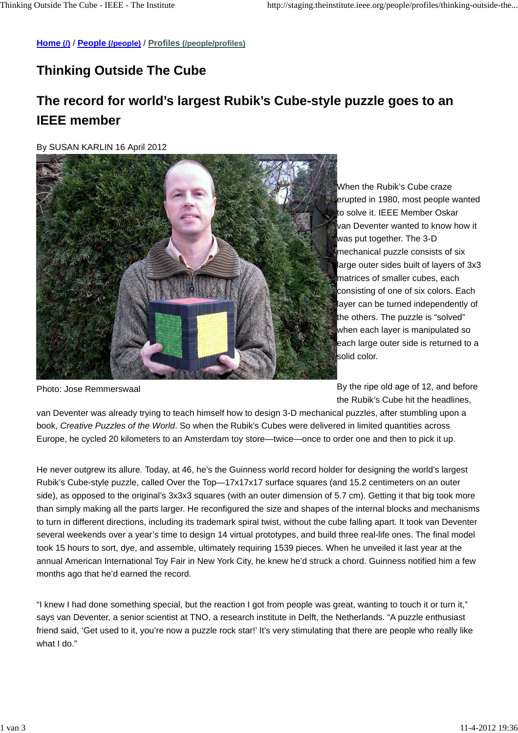**Home (/)** / **People (/people)** / **Profiles (/people/profiles)**

## **Thinking Outside The Cube**

## **The record for world's largest Rubik's Cube-style puzzle goes to an IEEE member**

By SUSAN KARLIN 16 April 2012



When the Rubik's Cube craze erupted in 1980, most people wanted to solve it. IEEE Member Oskar van Deventer wanted to know how it was put together. The 3-D mechanical puzzle consists of six large outer sides built of layers of 3x3 matrices of smaller cubes, each consisting of one of six colors. Each layer can be turned independently of the others. The puzzle is "solved" when each layer is manipulated so each large outer side is returned to a solid color.

Photo: Jose Remmerswaal

By the ripe old age of 12, and before the Rubik's Cube hit the headlines,

van Deventer was already trying to teach himself how to design 3-D mechanical puzzles, after stumbling upon a book, Creative Puzzles of the World. So when the Rubik's Cubes were delivered in limited quantities across Europe, he cycled 20 kilometers to an Amsterdam toy store—twice—once to order one and then to pick it up.

He never outgrew its allure. Today, at 46, he's the Guinness world record holder for designing the world's largest Rubik's Cube-style puzzle, called Over the Top—17x17x17 surface squares (and 15.2 centimeters on an outer side), as opposed to the original's 3x3x3 squares (with an outer dimension of 5.7 cm). Getting it that big took more than simply making all the parts larger. He reconfigured the size and shapes of the internal blocks and mechanisms to turn in different directions, including its trademark spiral twist, without the cube falling apart. It took van Deventer several weekends over a year's time to design 14 virtual prototypes, and build three real-life ones. The final model took 15 hours to sort, dye, and assemble, ultimately requiring 1539 pieces. When he unveiled it last year at the annual American International Toy Fair in New York City, he knew he'd struck a chord. Guinness notified him a few months ago that he'd earned the record.

"I knew I had done something special, but the reaction I got from people was great, wanting to touch it or turn it," says van Deventer, a senior scientist at TNO, a research institute in Delft, the Netherlands. "A puzzle enthusiast friend said, 'Get used to it, you're now a puzzle rock star!' It's very stimulating that there are people who really like what I do."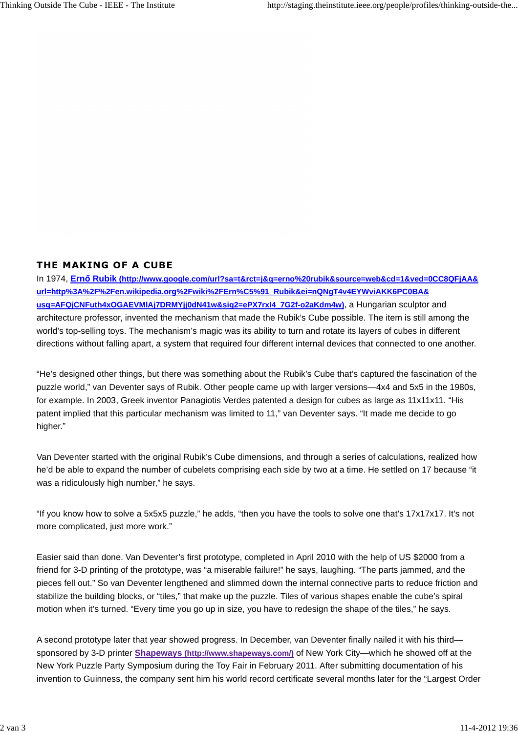## THE MAKING OF A CUBE

In 1974, **Ern**ő **Rubik (http://www.google.com/url?sa=t&rct=j&q=erno%20rubik&source=web&cd=1&ved=0CC8QFjAA& url=http%3A%2F%2Fen.wikipedia.org%2Fwiki%2FErn%C5%91\_Rubik&ei=nQNgT4v4EYWviAKK6PC0BA& usg=AFQjCNFuth4xOGAEVMlAj7DRMYjj0dN41w&sig2=ePX7rxI4\_7G2f-o2aKdm4w)**, a Hungarian sculptor and architecture professor, invented the mechanism that made the Rubik's Cube possible. The item is still among the world's top-selling toys. The mechanism's magic was its ability to turn and rotate its layers of cubes in different directions without falling apart, a system that required four different internal devices that connected to one another.

"He's designed other things, but there was something about the Rubik's Cube that's captured the fascination of the puzzle world," van Deventer says of Rubik. Other people came up with larger versions—4x4 and 5x5 in the 1980s, for example. In 2003, Greek inventor Panagiotis Verdes patented a design for cubes as large as 11x11x11. "His patent implied that this particular mechanism was limited to 11," van Deventer says. "It made me decide to go higher."

Van Deventer started with the original Rubik's Cube dimensions, and through a series of calculations, realized how he'd be able to expand the number of cubelets comprising each side by two at a time. He settled on 17 because "it was a ridiculously high number," he says.

"If you know how to solve a 5x5x5 puzzle," he adds, "then you have the tools to solve one that's 17x17x17. It's not more complicated, just more work."

Easier said than done. Van Deventer's first prototype, completed in April 2010 with the help of US \$2000 from a friend for 3-D printing of the prototype, was "a miserable failure!" he says, laughing. "The parts jammed, and the pieces fell out." So van Deventer lengthened and slimmed down the internal connective parts to reduce friction and stabilize the building blocks, or "tiles," that make up the puzzle. Tiles of various shapes enable the cube's spiral motion when it's turned. "Every time you go up in size, you have to redesign the shape of the tiles," he says.

A second prototype later that year showed progress. In December, van Deventer finally nailed it with his third sponsored by 3-D printer **Shapeways (http://www.shapeways.com/)** of New York City—which he showed off at the New York Puzzle Party Symposium during the Toy Fair in February 2011. After submitting documentation of his invention to Guinness, the company sent him his world record certificate several months later for the "Largest Order